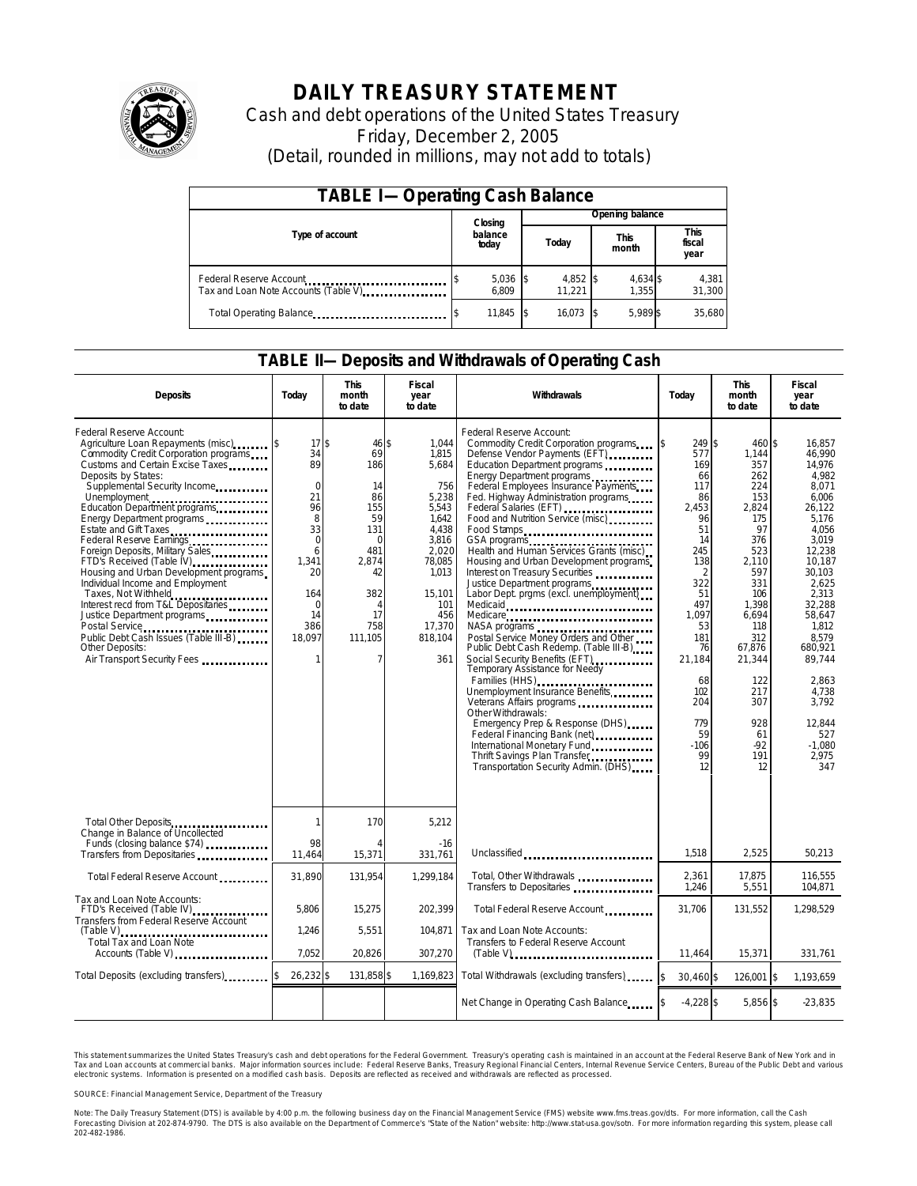

# **DAILY TREASURY STATEMENT**

Cash and debt operations of the United States Treasury Friday, December 2, 2005 (Detail, rounded in millions, may not add to totals)

| <b>TABLE I-Operating Cash Balance</b>                            |                  |                     |       |                      |                      |                   |  |                               |  |
|------------------------------------------------------------------|------------------|---------------------|-------|----------------------|----------------------|-------------------|--|-------------------------------|--|
|                                                                  |                  | Closing             |       | Opening balance      |                      |                   |  |                               |  |
| Type of account                                                  | balance<br>today |                     | Today |                      | <b>This</b><br>month |                   |  | <b>This</b><br>fiscal<br>year |  |
| Federal Reserve Account<br>Tax and Loan Note Accounts (Table V). |                  | $5,036$ \$<br>6.809 |       | $4,852$ \$<br>11.221 |                      | 4,634 \$<br>1.355 |  | 4,381<br>31,300               |  |
| Total Operating Balance                                          |                  | 11,845              |       | 16,073               |                      | 5.989 \$          |  | 35,680                        |  |

#### **TABLE II—Deposits and Withdrawals of Operating Cash**

| <b>Deposits</b>                                                                                                                                                                                                                                                                                                                                                                                                                                                                                                                                                                                                                          | Today                                                                                                                                               | <b>This</b><br>month<br>to date                                                                                                                         | <b>Fiscal</b><br>year<br>to date                                                                                                                            | Withdrawals                                                                                                                                                                                                                                                                                                                                                                                                                                                                                                                                                                                                                                                                                                                                                                                                                                                                                                                                              | Today                                                                                                                                                                                                  | <b>This</b><br>month<br>to date                                                                                                                                                                                         | <b>Fiscal</b><br>year<br>to date                                                                                                                                                                                                                                              |
|------------------------------------------------------------------------------------------------------------------------------------------------------------------------------------------------------------------------------------------------------------------------------------------------------------------------------------------------------------------------------------------------------------------------------------------------------------------------------------------------------------------------------------------------------------------------------------------------------------------------------------------|-----------------------------------------------------------------------------------------------------------------------------------------------------|---------------------------------------------------------------------------------------------------------------------------------------------------------|-------------------------------------------------------------------------------------------------------------------------------------------------------------|----------------------------------------------------------------------------------------------------------------------------------------------------------------------------------------------------------------------------------------------------------------------------------------------------------------------------------------------------------------------------------------------------------------------------------------------------------------------------------------------------------------------------------------------------------------------------------------------------------------------------------------------------------------------------------------------------------------------------------------------------------------------------------------------------------------------------------------------------------------------------------------------------------------------------------------------------------|--------------------------------------------------------------------------------------------------------------------------------------------------------------------------------------------------------|-------------------------------------------------------------------------------------------------------------------------------------------------------------------------------------------------------------------------|-------------------------------------------------------------------------------------------------------------------------------------------------------------------------------------------------------------------------------------------------------------------------------|
| Federal Reserve Account:<br>Agriculture Loan Repayments (misc) [\$<br>Commodity Credit Corporation programs<br>Customs and Certain Excise Taxes<br>Deposits by States:<br>Supplemental Security Income<br>Education Department programs<br>Energy Department programs<br>Federal Reserve Earnings<br>Foreign Deposits, Military Sales<br>FTD's Received (Table IV)<br>Housing and Urban Development programs<br>Individual Income and Employment<br>Taxes, Not Withheld<br>Interest recd from T&L Depositaries<br>Justice Department programs<br>Public Debt Cash Issues (Table III-B)<br>Other Deposits:<br>Air Transport Security Fees | 17 <sup>5</sup><br>34<br>89<br>$\mathbf 0$<br>21<br>96<br>8<br>33<br>$\mathbf 0$<br>6<br>1,341<br>20<br>164<br>$\Omega$<br>14<br>386<br>18,097<br>1 | 46 \$<br>69<br>186<br>14<br>86<br>155<br>59<br>131<br>$\Omega$<br>481<br>2,874<br>42<br>382<br>$\overline{4}$<br>17<br>758<br>111.105<br>$\overline{7}$ | 1.044<br>1,815<br>5,684<br>756<br>5,238<br>5,543<br>1.642<br>4.438<br>3.816<br>2.020<br>78,085<br>1,013<br>15.101<br>101<br>456<br>17.370<br>818,104<br>361 | Federal Reserve Account:<br>Commodity Credit Corporation programs<br>Defense Vendor Payments (EFT)<br>Education Department programs<br>Energy Department programs<br>Federal Employees Insurance Payments<br>Fed. Highway Administration programs<br>Federal Salaries (EFT)<br>Food and Nutrition Service (misc)<br>Food Stamps<br>GSA programs<br>Health and Human Services Grants (misc)<br>Housing and Urban Development programs<br>Interest on Treasury Securities<br>Justice Department programs<br>Labor Dept. prgms (excl. unemployment)<br>Medicaid<br>Medicare<br>Postal Service Money Orders and Other<br>Public Debt Cash Redemp. (Table III-B)<br>Social Security Benefits (EFT)<br><br>Temporary Assistance for Needy<br>Families (HHS)<br>Unemployment Insurance Benefits<br>Other Withdrawals:<br>Emergency Prep & Response (DHS)<br>International Monetary Fund<br>Thrift Savings Plan Transfer<br>Transportation Security Admin. (DHS) | 249 \$<br>577<br>169<br>66<br>117<br>86<br>2.453<br>96<br>51<br>14<br>245<br>138<br>2<br>322<br>51<br>497<br>1.097<br>53<br>181<br>76<br>21,184<br>68<br>102<br>204<br>779<br>59<br>$-106$<br>99<br>12 | 460 \$<br>1,144<br>357<br>262<br>224<br>153<br>2,824<br>175<br>97<br>376<br>523<br>2,110<br>597<br>331<br>106<br>1,398<br>6.694<br>118<br>312<br>67,876<br>21,344<br>122<br>217<br>307<br>928<br>61<br>-92<br>191<br>12 | 16.857<br>46,990<br>14,976<br>4.982<br>8,071<br>6.006<br>26,122<br>5.176<br>4.056<br>3.019<br>12.238<br>10,187<br>30.103<br>2.625<br>2.313<br>32,288<br>58.647<br>1.812<br>8.579<br>680,921<br>89,744<br>2.863<br>4,738<br>3.792<br>12.844<br>527<br>$-1,080$<br>2.975<br>347 |
| Total Other Deposits<br>Change in Balance of Uncollected                                                                                                                                                                                                                                                                                                                                                                                                                                                                                                                                                                                 | 1                                                                                                                                                   | 170                                                                                                                                                     | 5.212                                                                                                                                                       |                                                                                                                                                                                                                                                                                                                                                                                                                                                                                                                                                                                                                                                                                                                                                                                                                                                                                                                                                          |                                                                                                                                                                                                        |                                                                                                                                                                                                                         |                                                                                                                                                                                                                                                                               |
| Funds (closing balance \$74)<br>Transfers from Depositaries                                                                                                                                                                                                                                                                                                                                                                                                                                                                                                                                                                              | 98<br>11,464                                                                                                                                        | 15,371                                                                                                                                                  | $-16$<br>331,761                                                                                                                                            | Unclassified                                                                                                                                                                                                                                                                                                                                                                                                                                                                                                                                                                                                                                                                                                                                                                                                                                                                                                                                             | 1,518                                                                                                                                                                                                  | 2,525                                                                                                                                                                                                                   | 50,213                                                                                                                                                                                                                                                                        |
| Total Federal Reserve Account                                                                                                                                                                                                                                                                                                                                                                                                                                                                                                                                                                                                            | 31,890                                                                                                                                              | 131,954                                                                                                                                                 | 1,299,184                                                                                                                                                   | Total, Other Withdrawals<br>Transfers to Depositaries                                                                                                                                                                                                                                                                                                                                                                                                                                                                                                                                                                                                                                                                                                                                                                                                                                                                                                    | 2,361<br>1,246                                                                                                                                                                                         | 17,875<br>5,551                                                                                                                                                                                                         | 116,555<br>104,871                                                                                                                                                                                                                                                            |
| Tax and Loan Note Accounts:<br>FTD's Received (Table IV)<br>Transfers from Federal Reserve Account                                                                                                                                                                                                                                                                                                                                                                                                                                                                                                                                       | 5.806                                                                                                                                               | 15,275                                                                                                                                                  | 202,399                                                                                                                                                     | Total Federal Reserve Account                                                                                                                                                                                                                                                                                                                                                                                                                                                                                                                                                                                                                                                                                                                                                                                                                                                                                                                            | 31.706                                                                                                                                                                                                 | 131,552                                                                                                                                                                                                                 | 1,298,529                                                                                                                                                                                                                                                                     |
| $(Table V)$<br><b>Total Tax and Loan Note</b><br>Accounts (Table V)                                                                                                                                                                                                                                                                                                                                                                                                                                                                                                                                                                      | 1,246<br>7.052                                                                                                                                      | 5,551<br>20,826                                                                                                                                         | 104.871<br>307,270                                                                                                                                          | Tax and Loan Note Accounts:<br>Transfers to Federal Reserve Account<br>$(Table V)$ , $\ldots$ , $\ldots$ , $\ldots$ , $\ldots$ , $\ldots$ , $\ldots$ , $\ldots$ , $\ldots$                                                                                                                                                                                                                                                                                                                                                                                                                                                                                                                                                                                                                                                                                                                                                                               | 11.464                                                                                                                                                                                                 | 15,371                                                                                                                                                                                                                  | 331,761                                                                                                                                                                                                                                                                       |
| Total Deposits (excluding transfers)                                                                                                                                                                                                                                                                                                                                                                                                                                                                                                                                                                                                     | 26,232 \$                                                                                                                                           | 131,858 \$                                                                                                                                              | 1,169,823                                                                                                                                                   | Total Withdrawals (excluding transfers)                                                                                                                                                                                                                                                                                                                                                                                                                                                                                                                                                                                                                                                                                                                                                                                                                                                                                                                  | $\overline{\mathbf{3}}$<br>$30,460$ \$                                                                                                                                                                 | 126,001 \$                                                                                                                                                                                                              | 1,193,659                                                                                                                                                                                                                                                                     |
|                                                                                                                                                                                                                                                                                                                                                                                                                                                                                                                                                                                                                                          |                                                                                                                                                     |                                                                                                                                                         |                                                                                                                                                             | Net Change in Operating Cash Balance                                                                                                                                                                                                                                                                                                                                                                                                                                                                                                                                                                                                                                                                                                                                                                                                                                                                                                                     | $-4,228$ \$                                                                                                                                                                                            | 5,856 \$                                                                                                                                                                                                                | $-23,835$                                                                                                                                                                                                                                                                     |

This statement summarizes the United States Treasury's cash and debt operations for the Federal Government. Treasury's operating cash is maintained in an account at the Federal Reserve Bank of New York and in Tax and Loan accounts at commercial banks. Major information sources include: Federal Reserve Banks, Treasury Regional Financial Centers, Internal Revenue Service Centers, Bureau of the Public Debt and various<br>electronic s

SOURCE: Financial Management Service, Department of the Treasury

Note: The Daily Treasury Statement (DTS) is available by 4:00 p.m. the following business day on the Financial Management Service (FMS) website www.fms.treas.gov/dts. For more information, call the Cash<br>Forecasting Divisio 'S) is available by 4:00 p.m. the following business day on the Financial Management Service (FMS) website www.fms.treas.gov/dts. For more information, call the Cash<br>The DTS is also available on the Department of Commerce'